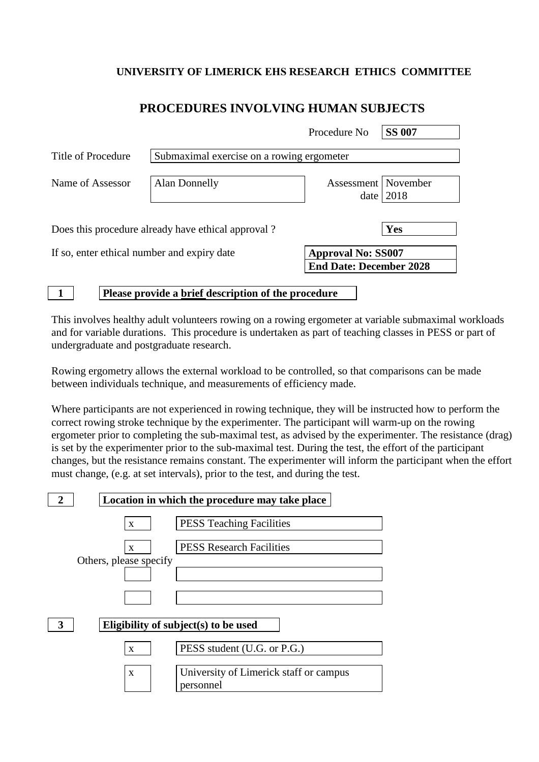#### **UNIVERSITY OF LIMERICK EHS RESEARCH ETHICS COMMITTEE**

# **PROCEDURES INVOLVING HUMAN SUBJECTS**

|                                                                          |                                                    | Procedure No                   | <b>SS 007</b> |
|--------------------------------------------------------------------------|----------------------------------------------------|--------------------------------|---------------|
| Title of Procedure                                                       | Submaximal exercise on a rowing ergometer          |                                |               |
| Name of Assessor                                                         | Alan Donnelly                                      | Assessment   November<br>date  | 2018          |
|                                                                          | Does this procedure already have ethical approval? |                                | Yes           |
| <b>Approval No: SS007</b><br>If so, enter ethical number and expiry date |                                                    |                                |               |
|                                                                          |                                                    | <b>End Date: December 2028</b> |               |

**1 Please provide a brief description of the procedure**

This involves healthy adult volunteers rowing on a rowing ergometer at variable submaximal workloads and for variable durations. This procedure is undertaken as part of teaching classes in PESS or part of undergraduate and postgraduate research.

Rowing ergometry allows the external workload to be controlled, so that comparisons can be made between individuals technique, and measurements of efficiency made.

Where participants are not experienced in rowing technique, they will be instructed how to perform the correct rowing stroke technique by the experimenter. The participant will warm-up on the rowing ergometer prior to completing the sub-maximal test, as advised by the experimenter. The resistance (drag) is set by the experimenter prior to the sub-maximal test. During the test, the effort of the participant changes, but the resistance remains constant. The experimenter will inform the participant when the effort must change, (e.g. at set intervals), prior to the test, and during the test.

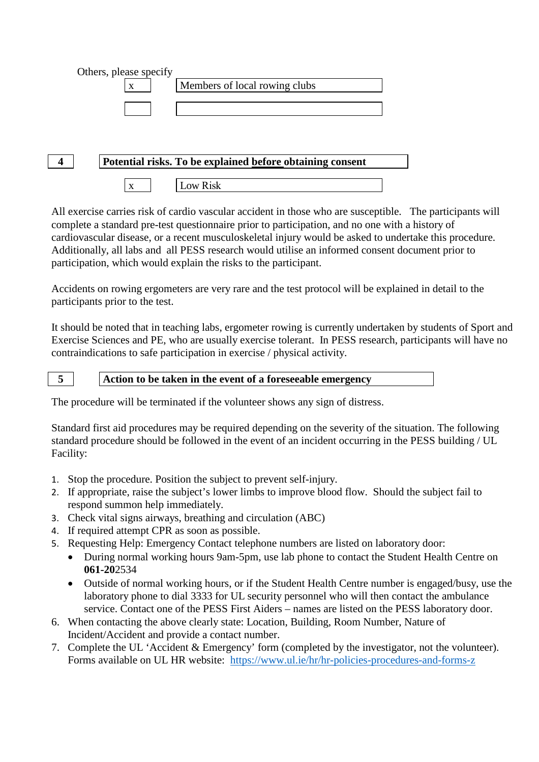



All exercise carries risk of cardio vascular accident in those who are susceptible. The participants will complete a standard pre-test questionnaire prior to participation, and no one with a history of cardiovascular disease, or a recent musculoskeletal injury would be asked to undertake this procedure. Additionally, all labs and all PESS research would utilise an informed consent document prior to participation, which would explain the risks to the participant.

Accidents on rowing ergometers are very rare and the test protocol will be explained in detail to the participants prior to the test.

It should be noted that in teaching labs, ergometer rowing is currently undertaken by students of Sport and Exercise Sciences and PE, who are usually exercise tolerant. In PESS research, participants will have no contraindications to safe participation in exercise / physical activity.

### **5 Action to be taken in the event of a foreseeable emergency**

The procedure will be terminated if the volunteer shows any sign of distress.

Standard first aid procedures may be required depending on the severity of the situation. The following standard procedure should be followed in the event of an incident occurring in the PESS building / UL Facility:

- 1. Stop the procedure. Position the subject to prevent self-injury.
- 2. If appropriate, raise the subject's lower limbs to improve blood flow. Should the subject fail to respond summon help immediately.
- 3. Check vital signs airways, breathing and circulation (ABC)
- 4. If required attempt CPR as soon as possible.
- 5. Requesting Help: Emergency Contact telephone numbers are listed on laboratory door:
	- During normal working hours 9am-5pm, use lab phone to contact the Student Health Centre on **061-20**2534
	- Outside of normal working hours, or if the Student Health Centre number is engaged/busy, use the laboratory phone to dial 3333 for UL security personnel who will then contact the ambulance service. Contact one of the PESS First Aiders – names are listed on the PESS laboratory door.
- 6. When contacting the above clearly state: Location, Building, Room Number, Nature of Incident/Accident and provide a contact number.
- 7. Complete the UL 'Accident & Emergency' form (completed by the investigator, not the volunteer). Forms available on UL HR website: <https://www.ul.ie/hr/hr-policies-procedures-and-forms-z>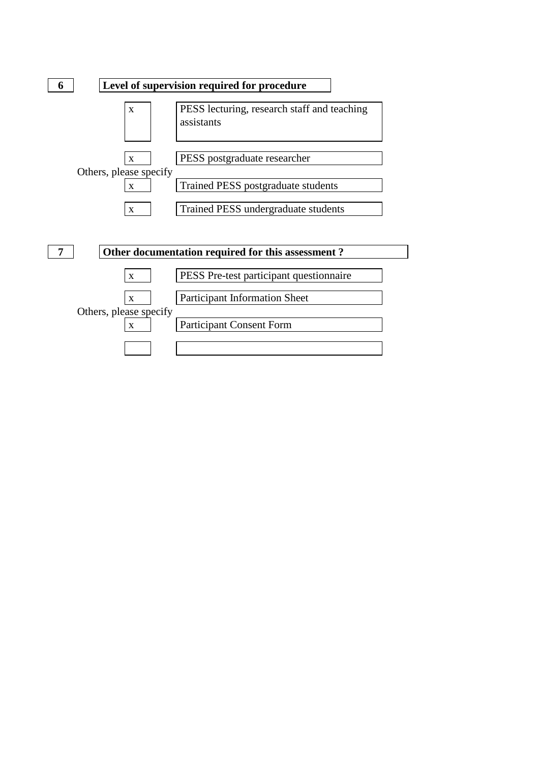